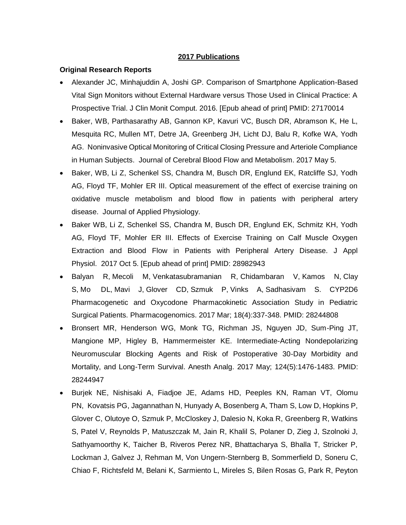### **2017 Publications**

### **Original Research Reports**

- Alexander JC, Minhajuddin A, Joshi GP. Comparison of Smartphone Application-Based Vital Sign Monitors without External Hardware versus Those Used in Clinical Practice: A Prospective Trial. J Clin Monit Comput. 2016. [Epub ahead of print] PMID: 27170014
- Baker, WB, Parthasarathy AB, Gannon KP, Kavuri VC, Busch DR, Abramson K, He L, Mesquita RC, Mullen MT, Detre JA, Greenberg JH, Licht DJ, Balu R, Kofke WA, Yodh AG. Noninvasive Optical Monitoring of Critical Closing Pressure and Arteriole Compliance in Human Subjects. Journal of Cerebral Blood Flow and Metabolism. 2017 May 5.
- Baker, WB, Li Z, Schenkel SS, Chandra M, Busch DR, Englund EK, Ratcliffe SJ, Yodh AG, Floyd TF, Mohler ER III. Optical measurement of the effect of exercise training on oxidative muscle metabolism and blood flow in patients with peripheral artery disease. Journal of Applied Physiology.
- Baker WB, Li Z, Schenkel SS, Chandra M, Busch DR, Englund EK, Schmitz KH, Yodh AG, Floyd TF, Mohler ER III. Effects of Exercise Training on Calf Muscle Oxygen Extraction and Blood Flow in Patients with Peripheral Artery Disease. J Appl Physiol. 2017 Oct 5. [Epub ahead of print] PMID: 28982943
- Balyan R, Mecoli M, Venkatasubramanian R, Chidambaran V, Kamos N, Clay S, Mo DL, Mavi J, Glover CD, Szmuk P, Vinks A, Sadhasivam S. CYP2D6 Pharmacogenetic and Oxycodone Pharmacokinetic Association Study in Pediatric Surgical Patients. Pharmacogenomics. 2017 Mar; 18(4):337-348. PMID: 28244808
- Bronsert MR, Henderson WG, Monk TG, Richman JS, Nguyen JD, Sum-Ping JT, Mangione MP, Higley B, Hammermeister KE. Intermediate-Acting Nondepolarizing Neuromuscular Blocking Agents and Risk of Postoperative 30-Day Morbidity and Mortality, and Long-Term Survival. Anesth Analg. 2017 May; 124(5):1476-1483. PMID: 28244947
- Burjek NE, Nishisaki A, Fiadjoe JE, Adams HD, Peeples KN, Raman VT, Olomu PN, Kovatsis PG, Jagannathan N, Hunyady A, Bosenberg A, Tham S, Low D, Hopkins P, Glover C, Olutoye O, Szmuk P, McCloskey J, Dalesio N, Koka R, Greenberg R, Watkins S, Patel V, Reynolds P, Matuszczak M, Jain R, Khalil S, Polaner D, Zieg J, Szolnoki J, Sathyamoorthy K, Taicher B, Riveros Perez NR, Bhattacharya S, Bhalla T, Stricker P, Lockman J, Galvez J, Rehman M, Von Ungern-Sternberg B, Sommerfield D, Soneru C, Chiao F, Richtsfeld M, Belani K, Sarmiento L, Mireles S, Bilen Rosas G, Park R, Peyton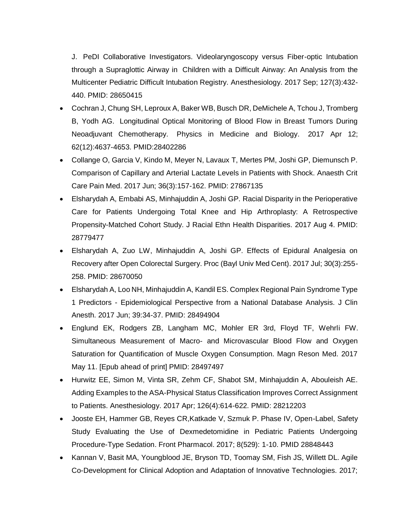J. PeDI Collaborative Investigators. Videolaryngoscopy versus Fiber-optic Intubation through a Supraglottic Airway in Children with a Difficult Airway: An Analysis from the Multicenter Pediatric Difficult Intubation Registry. Anesthesiology. 2017 Sep; 127(3):432- 440. PMID: 28650415

- Cochran J, Chung SH, Leproux A, Baker WB, Busch DR, DeMichele A, Tchou J, Tromberg B, Yodh AG. Longitudinal Optical Monitoring of Blood Flow in Breast Tumors During Neoadjuvant Chemotherapy. Physics in Medicine and Biology. 2017 Apr 12; 62(12):4637-4653. PMID:28402286
- Collange O, Garcia V, Kindo M, Meyer N, Lavaux T, Mertes PM, Joshi GP, Diemunsch P. Comparison of Capillary and Arterial Lactate Levels in Patients with Shock. Anaesth Crit Care Pain Med. 2017 Jun; 36(3):157-162. PMID: 27867135
- Elsharydah A, Embabi AS, Minhajuddin A, Joshi GP. Racial Disparity in the Perioperative Care for Patients Undergoing Total Knee and Hip Arthroplasty: A Retrospective Propensity-Matched Cohort Study. J Racial Ethn Health Disparities. 2017 Aug 4. PMID: 28779477
- Elsharydah A, Zuo LW, Minhajuddin A, Joshi GP. Effects of Epidural Analgesia on Recovery after Open Colorectal Surgery. Proc (Bayl Univ Med Cent). 2017 Jul; 30(3):255- 258. PMID: 28670050
- Elsharydah A, Loo NH, Minhajuddin A, Kandil ES. Complex Regional Pain Syndrome Type 1 Predictors - Epidemiological Perspective from a National Database Analysis. J Clin Anesth. 2017 Jun; 39:34-37. PMID: 28494904
- Englund EK, Rodgers ZB, Langham MC, Mohler ER 3rd, Floyd TF, Wehrli FW. Simultaneous Measurement of Macro- and Microvascular Blood Flow and Oxygen Saturation for Quantification of Muscle Oxygen Consumption. Magn Reson Med. 2017 May 11. [Epub ahead of print] PMID: 28497497
- Hurwitz EE, Simon M, Vinta SR, Zehm CF, Shabot SM, Minhajuddin A, Abouleish AE. Adding Examples to the ASA-Physical Status Classification Improves Correct Assignment to Patients. Anesthesiology. 2017 Apr; 126(4):614-622. PMID: 28212203
- Jooste EH, Hammer GB, Reyes CR,Katkade V, Szmuk P. Phase IV, Open-Label, Safety Study Evaluating the Use of Dexmedetomidine in Pediatric Patients Undergoing Procedure-Type Sedation. Front Pharmacol. 2017; 8(529): 1-10. PMID 28848443
- Kannan V, Basit MA, Youngblood JE, Bryson TD, Toomay SM, Fish JS, Willett DL. Agile Co-Development for Clinical Adoption and Adaptation of Innovative Technologies. 2017;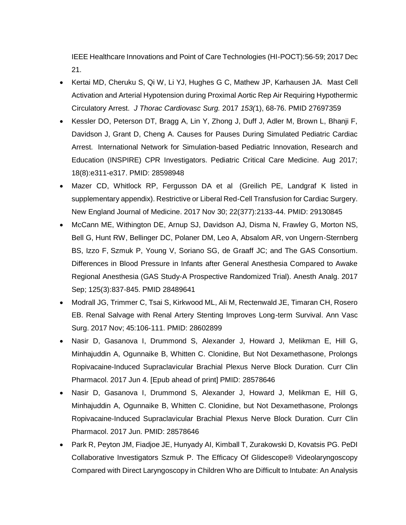IEEE Healthcare Innovations and Point of Care Technologies (HI-POCT):56-59; 2017 Dec 21.

- Kertai MD, Cheruku S, Qi W, Li YJ, Hughes G C, Mathew JP, Karhausen JA. Mast Cell Activation and Arterial Hypotension during Proximal Aortic Rep Air Requiring Hypothermic Circulatory Arrest. *J Thorac Cardiovasc Surg.* 2017 *153(*1), 68-76. PMID 27697359
- Kessler DO, Peterson DT, Bragg A, Lin Y, Zhong J, Duff J, Adler M, Brown L, Bhanji F, Davidson J, Grant D, Cheng A. Causes for Pauses During Simulated Pediatric Cardiac Arrest. International Network for Simulation-based Pediatric Innovation, Research and Education (INSPIRE) CPR Investigators. Pediatric Critical Care Medicine. Aug 2017; 18(8):e311-e317. PMID: 28598948
- Mazer CD, Whitlock RP, Fergusson DA et al (Greilich PE, Landgraf K listed in supplementary appendix). Restrictive or Liberal Red-Cell Transfusion for Cardiac Surgery. New England Journal of Medicine. 2017 Nov 30; 22(377):2133-44. PMID: 29130845
- McCann ME, Withington DE, Arnup SJ, Davidson AJ, Disma N, Frawley G, Morton NS, Bell G, Hunt RW, Bellinger DC, Polaner DM, Leo A, Absalom AR, von Ungern-Sternberg BS, Izzo F, Szmuk P, Young V, Soriano SG, de Graaff JC; and The GAS Consortium. Differences in Blood Pressure in Infants after General Anesthesia Compared to Awake Regional Anesthesia (GAS Study-A Prospective Randomized Trial). Anesth Analg. 2017 Sep; 125(3):837-845. PMID 28489641
- Modrall JG, Trimmer C, Tsai S, Kirkwood ML, Ali M, Rectenwald JE, Timaran CH, Rosero EB. Renal Salvage with Renal Artery Stenting Improves Long-term Survival. Ann Vasc Surg. 2017 Nov; 45:106-111. PMID: 28602899
- Nasir D, Gasanova I, Drummond S, Alexander J, Howard J, Melikman E, Hill G, Minhajuddin A, Ogunnaike B, Whitten C. Clonidine, But Not Dexamethasone, Prolongs Ropivacaine-Induced Supraclavicular Brachial Plexus Nerve Block Duration. Curr Clin Pharmacol. 2017 Jun 4. [Epub ahead of print] PMID: 28578646
- Nasir D, Gasanova I, Drummond S, Alexander J, Howard J, Melikman E, Hill G, Minhajuddin A, Ogunnaike B, Whitten C. Clonidine, but Not Dexamethasone, Prolongs Ropivacaine-Induced Supraclavicular Brachial Plexus Nerve Block Duration. Curr Clin Pharmacol. 2017 Jun. PMID: 28578646
- Park R, Peyton JM, Fiadjoe JE, Hunyady AI, Kimball T, Zurakowski D, Kovatsis PG. PeDI Collaborative Investigators Szmuk P. The Efficacy Of Glidescope® Videolaryngoscopy Compared with Direct Laryngoscopy in Children Who are Difficult to Intubate: An Analysis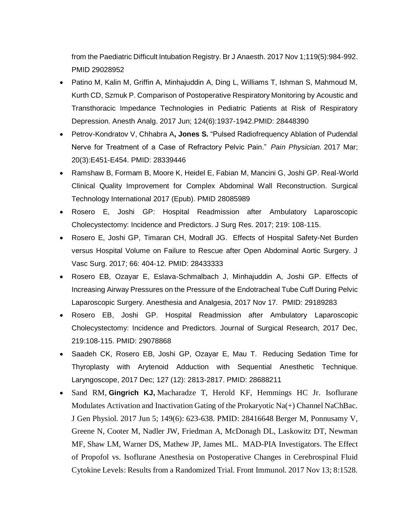from the Paediatric Difficult Intubation Registry. Br J Anaesth. 2017 Nov 1;119(5):984-992. PMID 29028952

- Patino M, Kalin M, Griffin A, Minhajuddin A, Ding L, Williams T, Ishman S, Mahmoud M, Kurth CD, Szmuk P. Comparison of Postoperative Respiratory Monitoring by Acoustic and Transthoracic Impedance Technologies in Pediatric Patients at Risk of Respiratory Depression. Anesth Analg. 2017 Jun; 124(6):1937-1942.PMID: 28448390
- Petrov-Kondratov V, Chhabra A**, Jones S.** "Pulsed Radiofrequency Ablation of Pudendal Nerve for Treatment of a Case of Refractory Pelvic Pain." *Pain Physician.* 2017 Mar; 20(3):E451-E454. PMID: 28339446
- Ramshaw B, Formam B, Moore K, Heidel E, Fabian M, Mancini G, Joshi GP. Real-World Clinical Quality Improvement for Complex Abdominal Wall Reconstruction. Surgical Technology International 2017 (Epub). PMID 28085989
- Rosero E, Joshi GP: Hospital Readmission after Ambulatory Laparoscopic Cholecystectomy: Incidence and Predictors. J Surg Res. 2017; 219: 108-115.
- Rosero E, Joshi GP, Timaran CH, Modrall JG. Effects of Hospital Safety-Net Burden versus Hospital Volume on Failure to Rescue after Open Abdominal Aortic Surgery. J Vasc Surg. 2017; 66: 404-12. PMID: 28433333
- Rosero EB, Ozayar E, Eslava-Schmalbach J, Minhajuddin A, Joshi GP. Effects of Increasing Airway Pressures on the Pressure of the Endotracheal Tube Cuff During Pelvic Laparoscopic Surgery. Anesthesia and Analgesia, 2017 Nov 17. PMID: 29189283
- Rosero EB, Joshi GP. Hospital Readmission after Ambulatory Laparoscopic Cholecystectomy: Incidence and Predictors. Journal of Surgical Research, 2017 Dec, 219:108-115. PMID: 29078868
- Saadeh CK, Rosero EB, Joshi GP, Ozayar E, Mau T. Reducing Sedation Time for Thyroplasty with Arytenoid Adduction with Sequential Anesthetic Technique. Laryngoscope, 2017 Dec; 127 (12): 2813-2817. PMID: 28688211
- Sand RM, **Gingrich KJ,** Macharadze T, Herold KF, Hemmings HC Jr. Isoflurane Modulates Activation and Inactivation Gating of the Prokaryotic  $Na(+)$  Channel NaChBac. J Gen Physiol. 2017 Jun 5; 149(6): 623-638. PMID: 28416648 Berger M, Ponnusamy V, Greene N, Cooter M, Nadler JW, Friedman A, McDonagh DL, Laskowitz DT, Newman MF, Shaw LM, Warner DS, Mathew JP, James ML. MAD-PIA Investigators. The Effect of Propofol vs. Isoflurane Anesthesia on Postoperative Changes in Cerebrospinal Fluid Cytokine Levels: Results from a Randomized Trial. Front Immunol. 2017 Nov 13; 8:1528.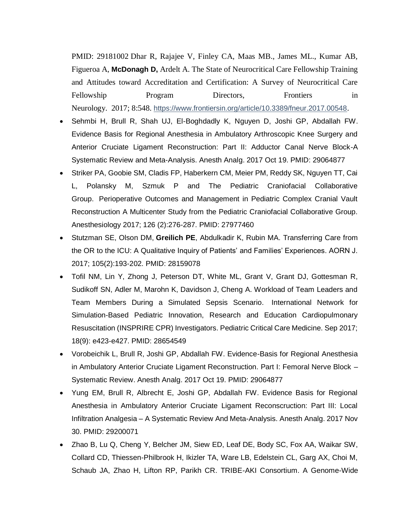PMID: 29181002 Dhar R, Rajajee V, Finley CA, Maas MB., James ML., Kumar AB, Figueroa A, **McDonagh D,** Ardelt A. The State of Neurocritical Care Fellowship Training and Attitudes toward Accreditation and Certification: A Survey of Neurocritical Care Fellowship Program Directors, Frontiers in Neurology. 2017; 8:548. <https://www.frontiersin.org/article/10.3389/fneur.2017.00548>.

- Sehmbi H, Brull R, Shah UJ, El-Boghdadly K, Nguyen D, Joshi GP, Abdallah FW. Evidence Basis for Regional Anesthesia in Ambulatory Arthroscopic Knee Surgery and Anterior Cruciate Ligament Reconstruction: Part II: Adductor Canal Nerve Block-A Systematic Review and Meta-Analysis. Anesth Analg. 2017 Oct 19. PMID: 29064877
- Striker PA, Goobie SM, Cladis FP, Haberkern CM, Meier PM, Reddy SK, Nguyen TT, Cai L, Polansky M, Szmuk P and The Pediatric Craniofacial Collaborative Group. Perioperative Outcomes and Management in Pediatric Complex Cranial Vault Reconstruction A Multicenter Study from the Pediatric Craniofacial Collaborative Group. Anesthesiology 2017; 126 (2):276-287. PMID: 27977460
- Stutzman SE, Olson DM, **Greilich PE**, Abdulkadir K, Rubin MA. Transferring Care from the OR to the ICU: A Qualitative Inquiry of Patients' and Families' Experiences. AORN J. 2017; 105(2):193-202. PMID: 28159078
- Tofil NM, Lin Y, Zhong J, Peterson DT, White ML, Grant V, Grant DJ, Gottesman R, Sudikoff SN, Adler M, Marohn K, Davidson J, Cheng A. Workload of Team Leaders and Team Members During a Simulated Sepsis Scenario. International Network for Simulation-Based Pediatric Innovation, Research and Education Cardiopulmonary Resuscitation (INSPRIRE CPR) Investigators. Pediatric Critical Care Medicine. Sep 2017; 18(9): e423-e427. PMID: 28654549
- Vorobeichik L, Brull R, Joshi GP, Abdallah FW. Evidence-Basis for Regional Anesthesia in Ambulatory Anterior Cruciate Ligament Reconstruction. Part I: Femoral Nerve Block – Systematic Review. Anesth Analg. 2017 Oct 19. PMID: 29064877
- Yung EM, Brull R, Albrecht E, Joshi GP, Abdallah FW. Evidence Basis for Regional Anesthesia in Ambulatory Anterior Cruciate Ligament Reconscruction: Part III: Local Infiltration Analgesia – A Systematic Review And Meta-Analysis. Anesth Analg. 2017 Nov 30. PMID: 29200071
- Zhao B, Lu Q, Cheng Y, Belcher JM, Siew ED, Leaf DE, Body SC, Fox AA, Waikar SW, Collard CD, Thiessen-Philbrook H, Ikizler TA, Ware LB, Edelstein CL, Garg AX, Choi M, Schaub JA, Zhao H, Lifton RP, Parikh CR. TRIBE-AKI Consortium. A Genome-Wide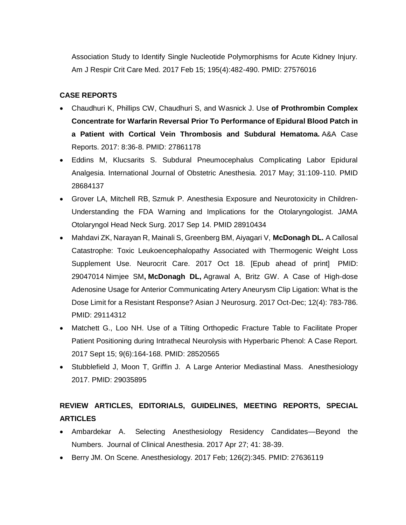Association Study to Identify Single Nucleotide Polymorphisms for Acute Kidney Injury. Am J Respir Crit Care Med. 2017 Feb 15; 195(4):482-490. PMID: 27576016

## **CASE REPORTS**

- Chaudhuri K, Phillips CW, Chaudhuri S, and Wasnick J. Use **of Prothrombin Complex Concentrate for Warfarin Reversal Prior To Performance of Epidural Blood Patch in a Patient with Cortical Vein Thrombosis and Subdural Hematoma.** A&A Case Reports. 2017: 8:36-8. PMID: 27861178
- Eddins M, Klucsarits S. Subdural Pneumocephalus Complicating Labor Epidural Analgesia. International Journal of Obstetric Anesthesia. 2017 May; 31:109-110. PMID 28684137
- Grover LA, Mitchell RB, Szmuk P. Anesthesia Exposure and Neurotoxicity in Children-Understanding the FDA Warning and Implications for the Otolaryngologist. JAMA Otolaryngol Head Neck Surg. 2017 Sep 14. PMID 28910434
- Mahdavi ZK, Narayan R, Mainali S, Greenberg BM, Aiyagari V, **McDonagh DL.** A Callosal Catastrophe: Toxic Leukoencephalopathy Associated with Thermogenic Weight Loss Supplement Use. Neurocrit Care. 2017 Oct 18. [Epub ahead of print] PMID: 29047014 Nimjee SM**, McDonagh DL,** Agrawal A, Britz GW. A Case of High-dose Adenosine Usage for Anterior Communicating Artery Aneurysm Clip Ligation: What is the Dose Limit for a Resistant Response? Asian J Neurosurg. 2017 Oct-Dec; 12(4): 783-786. PMID: 29114312
- Matchett G., Loo NH. Use of a Tilting Orthopedic Fracture Table to Facilitate Proper Patient Positioning during Intrathecal Neurolysis with Hyperbaric Phenol: A Case Report. 2017 Sept 15; 9(6):164-168. PMID: 28520565
- Stubblefield J, Moon T, Griffin J. A Large Anterior Mediastinal Mass. Anesthesiology 2017. PMID: 29035895

# **REVIEW ARTICLES, EDITORIALS, GUIDELINES, MEETING REPORTS, SPECIAL ARTICLES**

- Ambardekar A. Selecting Anesthesiology Residency Candidates—Beyond the Numbers. Journal of Clinical Anesthesia. 2017 Apr 27; 41: 38-39.
- Berry JM. On Scene. Anesthesiology. 2017 Feb; 126(2):345. PMID: 27636119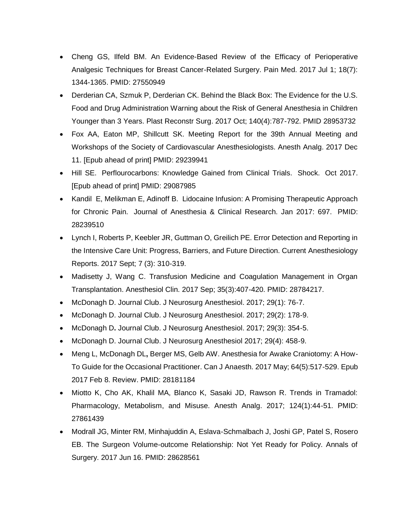- Cheng GS, Ilfeld BM. An Evidence-Based Review of the Efficacy of Perioperative Analgesic Techniques for Breast Cancer-Related Surgery. Pain Med. 2017 Jul 1; 18(7): 1344-1365. PMID: 27550949
- Derderian CA, Szmuk P, Derderian CK. Behind the Black Box: The Evidence for the U.S. Food and Drug Administration Warning about the Risk of General Anesthesia in Children Younger than 3 Years. Plast Reconstr Surg. 2017 Oct; 140(4):787-792. PMID 28953732
- Fox AA, Eaton MP, Shillcutt SK. Meeting Report for the 39th Annual Meeting and Workshops of the Society of Cardiovascular Anesthesiologists. Anesth Analg. 2017 Dec 11. [Epub ahead of print] PMID: 29239941
- Hill SE. Perflourocarbons: Knowledge Gained from Clinical Trials. Shock. Oct 2017. [Epub ahead of print] PMID: 29087985
- Kandil E, Melikman E, Adinoff B. Lidocaine Infusion: A Promising Therapeutic Approach for Chronic Pain. Journal of Anesthesia & Clinical Research. Jan 2017: 697. PMID: 28239510
- Lynch I, Roberts P, Keebler JR, Guttman O, Greilich PE. Error Detection and Reporting in the Intensive Care Unit: Progress, Barriers, and Future Direction. Current Anesthesiology Reports. 2017 Sept; 7 (3): 310-319.
- Madisetty J, Wang C. Transfusion Medicine and Coagulation Management in Organ Transplantation. Anesthesiol Clin. 2017 Sep; 35(3):407-420. PMID: 28784217.
- McDonagh D. Journal Club. J Neurosurg Anesthesiol. 2017; 29(1): 76-7.
- McDonagh D. Journal Club. J Neurosurg Anesthesiol. 2017; 29(2): 178-9.
- McDonagh D**.** Journal Club. J Neurosurg Anesthesiol. 2017; 29(3): 354-5.
- McDonagh D. Journal Club. J Neurosurg Anesthesiol 2017; 29(4): 458-9.
- Meng L, McDonagh DL**,** Berger MS, Gelb AW. Anesthesia for Awake Craniotomy: A How-To Guide for the Occasional Practitioner. Can J Anaesth. 2017 May; 64(5):517-529. Epub 2017 Feb 8. Review. PMID: 28181184
- Miotto K, Cho AK, Khalil MA, Blanco K, Sasaki JD, Rawson R. Trends in Tramadol: Pharmacology, Metabolism, and Misuse. Anesth Analg. 2017; 124(1):44-51. PMID: 27861439
- Modrall JG, Minter RM, Minhajuddin A, Eslava-Schmalbach J, Joshi GP, Patel S, Rosero EB. The Surgeon Volume-outcome Relationship: Not Yet Ready for Policy. Annals of Surgery. 2017 Jun 16. PMID: 28628561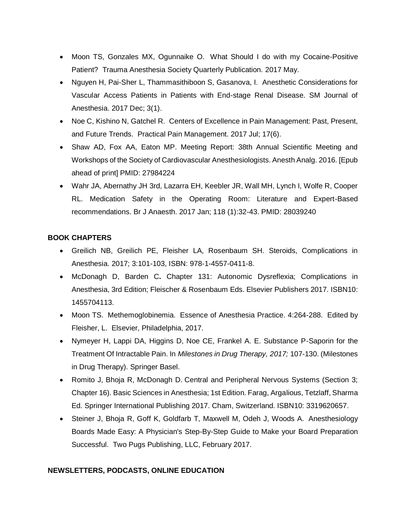- Moon TS, Gonzales MX, Ogunnaike O. What Should I do with my Cocaine-Positive Patient? Trauma Anesthesia Society Quarterly Publication. 2017 May.
- Nguyen H, Pai-Sher L, Thammasithiboon S, Gasanova, I. Anesthetic Considerations for Vascular Access Patients in Patients with End-stage Renal Disease. SM Journal of Anesthesia. 2017 Dec; 3(1).
- Noe C, Kishino N, Gatchel R. Centers of Excellence in Pain Management: Past, Present, and Future Trends. Practical Pain Management. 2017 Jul; 17(6).
- Shaw AD, Fox AA, Eaton MP. Meeting Report: 38th Annual Scientific Meeting and Workshops of the Society of Cardiovascular Anesthesiologists. Anesth Analg. 2016. [Epub ahead of print] PMID: 27984224
- Wahr JA, Abernathy JH 3rd, Lazarra EH, Keebler JR, Wall MH, Lynch I, Wolfe R, Cooper RL. Medication Safety in the Operating Room: Literature and Expert-Based recommendations. Br J Anaesth. 2017 Jan; 118 (1):32-43. PMID: 28039240

## **BOOK CHAPTERS**

- Greilich NB, Greilich PE, Fleisher LA, Rosenbaum SH. Steroids, Complications in Anesthesia. 2017; 3:101-103, ISBN: 978-1-4557-0411-8.
- McDonagh D, Barden C**.** Chapter 131: Autonomic Dysreflexia; Complications in Anesthesia, 3rd Edition; Fleischer & Rosenbaum Eds. Elsevier Publishers 2017. ISBN10: 1455704113.
- Moon TS. Methemoglobinemia. Essence of Anesthesia Practice. 4:264-288. Edited by Fleisher, L. Elsevier, Philadelphia, 2017.
- Nymeyer H, Lappi DA, Higgins D, Noe CE, Frankel A. E. Substance P-Saporin for the Treatment Of Intractable Pain. In *Milestones in Drug Therapy, 2017;* 107-130. (Milestones in Drug Therapy). Springer Basel.
- Romito J, Bhoja R, McDonagh D. Central and Peripheral Nervous Systems (Section 3; Chapter 16). Basic Sciences in Anesthesia; 1st Edition. Farag, Argalious, Tetzlaff, Sharma Ed. Springer International Publishing 2017. Cham, Switzerland. ISBN10: 3319620657.
- Steiner J, Bhoja R, Goff K, Goldfarb T, Maxwell M, Odeh J, Woods A. Anesthesiology Boards Made Easy: A Physician's Step-By-Step Guide to Make your Board Preparation Successful. Two Pugs Publishing, LLC, February 2017.

## **NEWSLETTERS, PODCASTS, ONLINE EDUCATION**